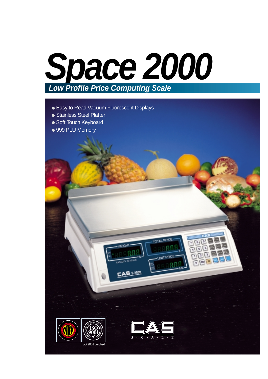

- Easy to Read Vacuum Fluorescent Displays
- Stainless Steel Platter
- Soft Touch Keyboard
- 999 PLU Memory

 $\frac{1}{2}$ **E** 



.<br>FGH

 $\leq$  s-2000



 $|g|$ 

**Dec** 

**RODEL ROD LAT** 

 $\overline{7}$